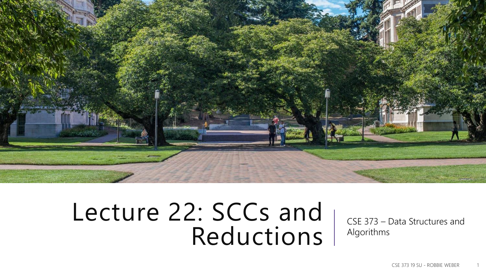

### Lecture 22: SCCs and Reductions

CSE 373 – Data Structures and Algorithms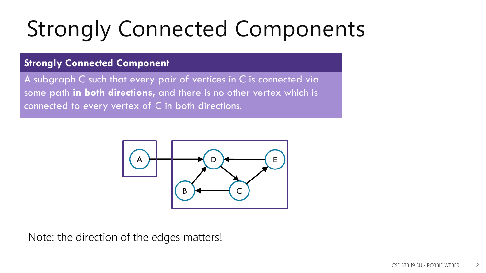# Strongly Connected Components

#### **Strongly Connected Component**

A subgraph C such that every pair of vertices in C is connected via some path **in both directions,** and there is no other vertex which is connected to every vertex of C in both directions.



Note: the direction of the edges matters!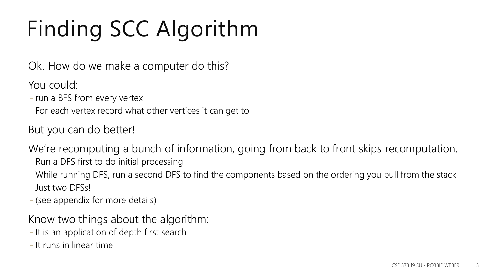# Finding SCC Algorithm

Ok. How do we make a computer do this?

You could:

- run a BFS from every vertex
- For each vertex record what other vertices it can get to

But you can do better!

We're recomputing a bunch of information, going from back to front skips recomputation.

- Run a DFS first to do initial processing
- While running DFS, run a second DFS to find the components based on the ordering you pull from the stack

- Just two DFSs!

- (see appendix for more details)

Know two things about the algorithm:

- It is an application of depth first search
- It runs in linear time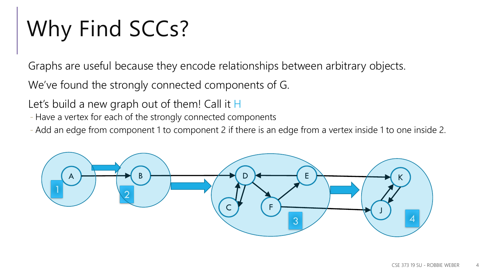# Why Find SCCs?

Graphs are useful because they encode relationships between arbitrary objects.

We've found the strongly connected components of G.

Let's build a new graph out of them! Call it H

- Have a vertex for each of the strongly connected components

- Add an edge from component 1 to component 2 if there is an edge from a vertex inside 1 to one inside 2.

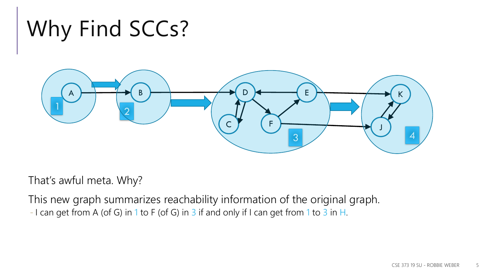## Why Find SCCs?



That's awful meta. Why?

This new graph summarizes reachability information of the original graph. - I can get from A (of G) in 1 to F (of G) in 3 if and only if I can get from 1 to 3 in H.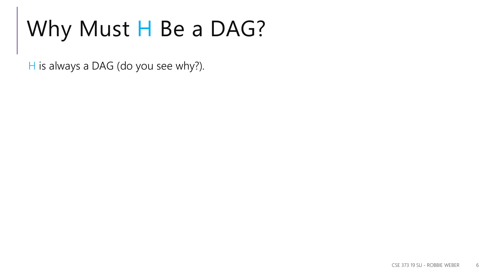### Why Must H Be a DAG?

 $H$  is always a DAG (do you see why?).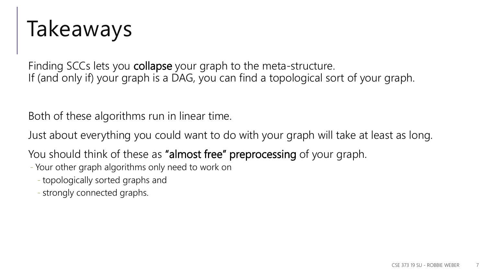### Takeaways

Finding SCCs lets you collapse your graph to the meta-structure. If (and only if) your graph is a DAG, you can find a topological sort of your graph.

Both of these algorithms run in linear time.

Just about everything you could want to do with your graph will take at least as long.

You should think of these as "almost free" preprocessing of your graph.

- Your other graph algorithms only need to work on

- topologically sorted graphs and

- strongly connected graphs.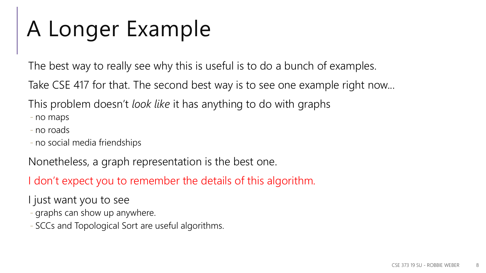### A Longer Example

The best way to really see why this is useful is to do a bunch of examples.

Take CSE 417 for that. The second best way is to see one example right now...

This problem doesn't *look like* it has anything to do with graphs

- no maps

- no roads
- no social media friendships

Nonetheless, a graph representation is the best one.

I don't expect you to remember the details of this algorithm.

- I just want you to see
- graphs can show up anywhere.
- SCCs and Topological Sort are useful algorithms.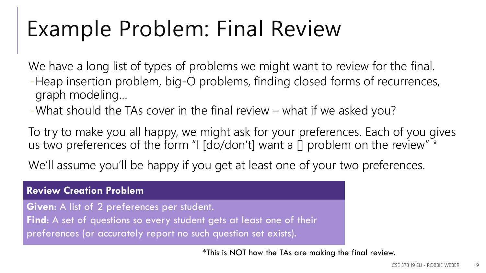### Example Problem: Final Review

We have a long list of types of problems we might want to review for the final. -Heap insertion problem, big-O problems, finding closed forms of recurrences, graph modeling…

-What should the TAs cover in the final review – what if we asked you?

To try to make you all happy, we might ask for your preferences. Each of you gives us two preferences of the form "I [do/don't] want a [] problem on the review"  $\star$ 

We'll assume you'll be happy if you get at least one of your two preferences.

#### **Review Creation Problem**

**Given**: A list of 2 preferences per student. **Find**: A set of questions so every student gets at least one of their preferences (or accurately report no such question set exists).

\*This is NOT how the TAs are making the final review.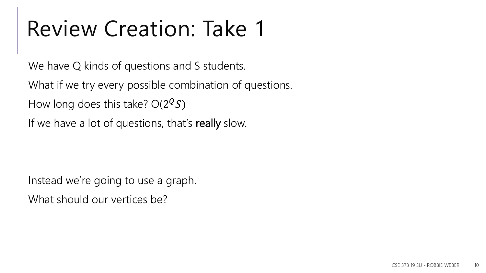We have Q kinds of questions and S students.

What if we try every possible combination of questions.

How long does this take?  $O(2^{\mathcal{Q}}S)$ 

If we have a lot of questions, that's really slow.

Instead we're going to use a graph. What should our vertices be?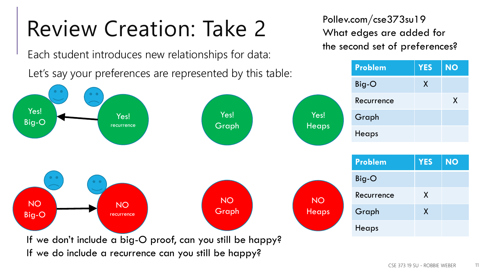Each student introduces new relationships for data:

Pollev.com/cse373su19 What edges are added for the second set of preferences?

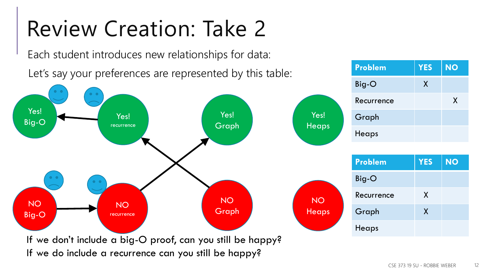Each student introduces new relationships for data:

Let's say your preferences are represented by this table:



**Problem YES NO**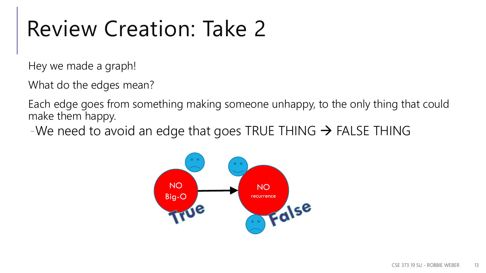Hey we made a graph!

What do the edges mean?

Each edge goes from something making someone unhappy, to the only thing that could make them happy.

-We need to avoid an edge that goes TRUE THING  $\rightarrow$  FALSE THING

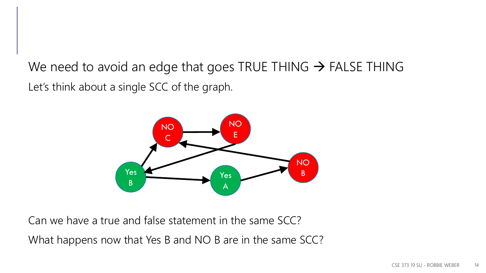We need to avoid an edge that goes TRUE THING  $\rightarrow$  FALSE THING Let's think about a single SCC of the graph.



Can we have a true and false statement in the same SCC?

What happens now that Yes B and NO B are in the same SCC?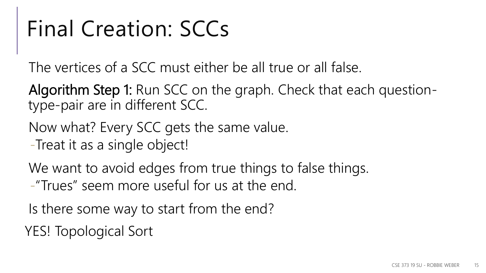### Final Creation: SCCs

The vertices of a SCC must either be all true or all false.

Algorithm Step 1: Run SCC on the graph. Check that each questiontype-pair are in different SCC.

Now what? Every SCC gets the same value.

-Treat it as a single object!

We want to avoid edges from true things to false things.

-"Trues" seem more useful for us at the end.

Is there some way to start from the end?

YES! Topological Sort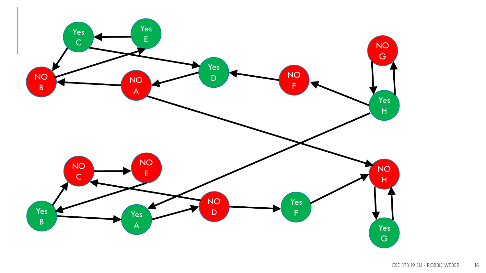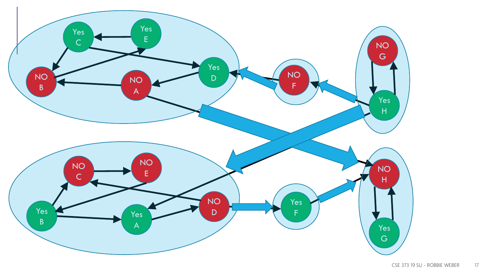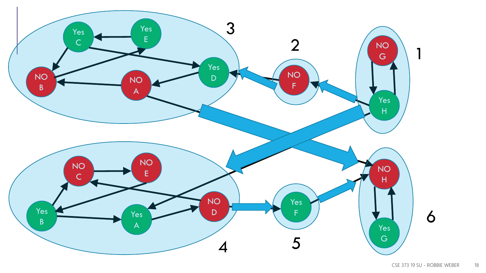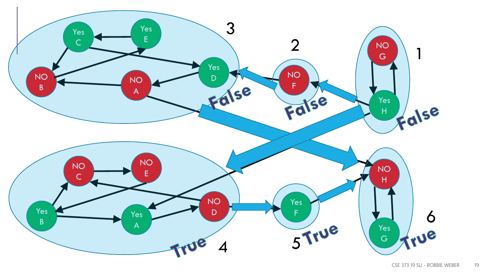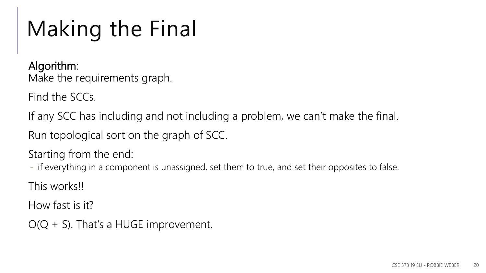# Making the Final

Algorithm: Make the requirements graph.

Find the SCCs.

If any SCC has including and not including a problem, we can't make the final.

Run topological sort on the graph of SCC.

Starting from the end:

- if everything in a component is unassigned, set them to true, and set their opposites to false.

This works!!

How fast is it?

 $O(Q + S)$ . That's a HUGE improvement.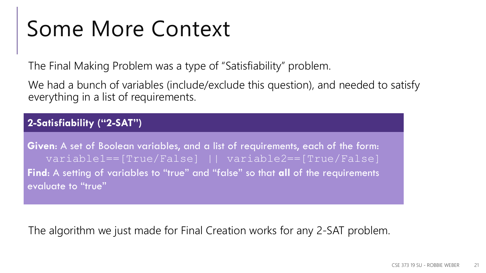### Some More Context

The Final Making Problem was a type of "Satisfiability" problem.

We had a bunch of variables (include/exclude this question), and needed to satisfy everything in a list of requirements.

#### **2-Satisfiability ("2-SAT")**

**Given**: A set of Boolean variables, and a list of requirements, each of the form: variable1==[True/False] || variable2==[True/False] **Find**: A setting of variables to "true" and "false" so that **all** of the requirements evaluate to "true"

The algorithm we just made for Final Creation works for any 2-SAT problem.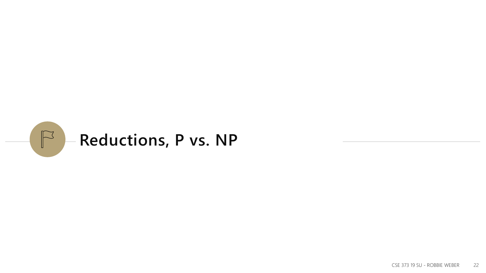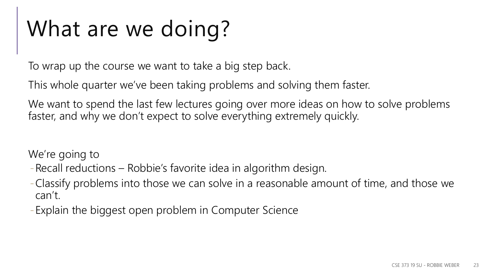### What are we doing?

To wrap up the course we want to take a big step back.

This whole quarter we've been taking problems and solving them faster.

We want to spend the last few lectures going over more ideas on how to solve problems faster, and why we don't expect to solve everything extremely quickly.

We're going to

- -Recall reductions Robbie's favorite idea in algorithm design.
- -Classify problems into those we can solve in a reasonable amount of time, and those we can't.
- -Explain the biggest open problem in Computer Science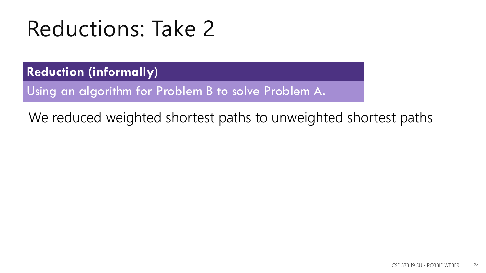### Reductions: Take 2

**Reduction (informally)**

Using an algorithm for Problem B to solve Problem A.

We reduced weighted shortest paths to unweighted shortest paths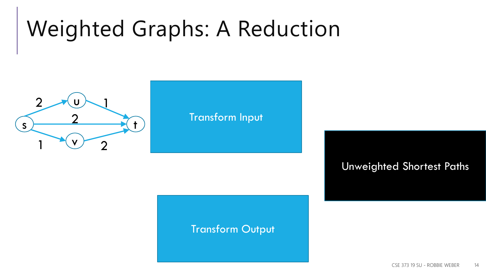# Weighted Graphs: A Reduction



#### Transform Input

### **Transform Output**

Unweighted Shortest Paths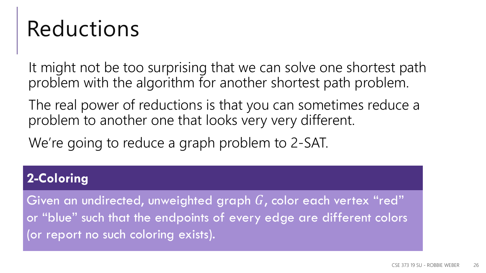### Reductions

It might not be too surprising that we can solve one shortest path problem with the algorithm for another shortest path problem.

The real power of reductions is that you can sometimes reduce a problem to another one that looks very very different.

We're going to reduce a graph problem to 2-SAT.

### **2-Coloring**

Given an undirected, unweighted graph  $G$ , color each vertex "red" or "blue" such that the endpoints of every edge are different colors (or report no such coloring exists).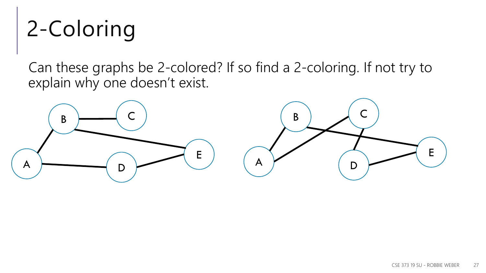# 2-Coloring

Can these graphs be 2-colored? If so find a 2-coloring. If not try to explain why one doesn't exist.

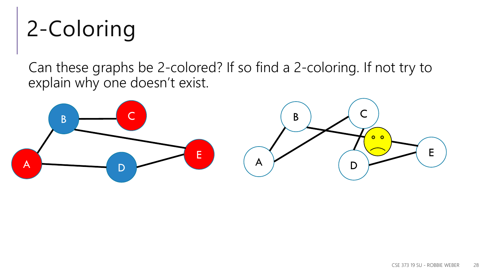# 2-Coloring

Can these graphs be 2-colored? If so find a 2-coloring. If not try to explain why one doesn't exist.

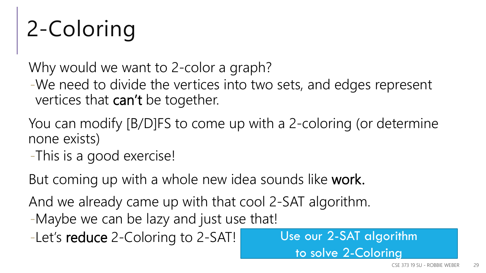# 2-Coloring

Why would we want to 2-color a graph?

-We need to divide the vertices into two sets, and edges represent vertices that can't be together.

- You can modify [B/D]FS to come up with a 2-coloring (or determine none exists)
- -This is a good exercise!

But coming up with a whole new idea sounds like work.

And we already came up with that cool 2-SAT algorithm.

- -Maybe we can be lazy and just use that!
- -Let's reduce 2-Coloring to 2-SAT!

Use our 2-SAT algorithm to solve 2-Coloring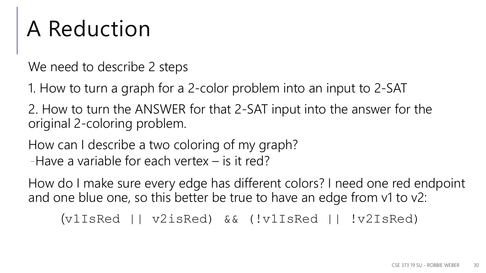### A Reduction

We need to describe 2 steps

1. How to turn a graph for a 2-color problem into an input to 2-SAT

2. How to turn the ANSWER for that 2-SAT input into the answer for the original 2-coloring problem.

How can I describe a two coloring of my graph? -Have a variable for each vertex – is it red?

How do I make sure every edge has different colors? I need one red endpoint and one blue one, so this better be true to have an edge from v1 to v2:

(v1IsRed || v2isRed) && (!v1IsRed || !v2IsRed)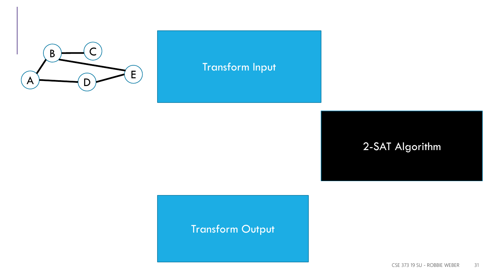

#### (BisRed||CisRed)&&(!BisRed||!CisRed) **EisRed)**<br>Transform Input (EisRed)

(DisRed||EisRed)&&(!DisRed||!EisRed)

(AisRed||BisRed)&&(!AisRed||!BisRed) (AisRed||DisRed)&&(!AisRed||!DisRed)

#### -SAT Alaorithm DisRed = False 2-SAT Algorithm

### Transform Output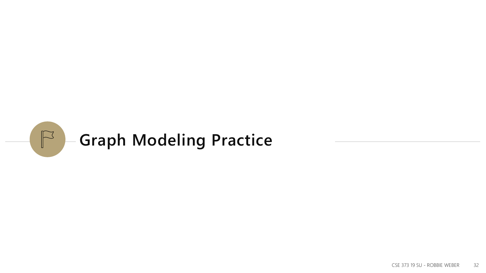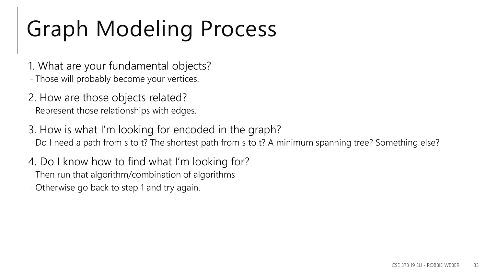# Graph Modeling Process

- 1. What are your fundamental objects? - Those will probably become your vertices.
- 2. How are those objects related? - Represent those relationships with edges.
- 3. How is what I'm looking for encoded in the graph?
- Do I need a path from s to t? The shortest path from s to t? A minimum spanning tree? Something else?
- 4. Do I know how to find what I'm looking for?
- Then run that algorithm/combination of algorithms
- Otherwise go back to step 1 and try again.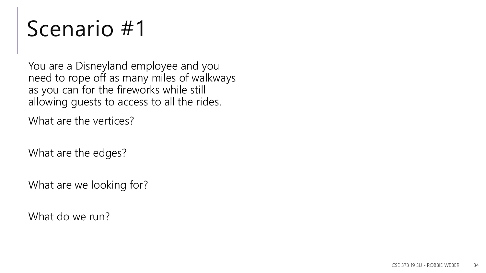You are a Disneyland employee and you need to rope off as many miles of walkways as you can for the fireworks while still allowing guests to access to all the rides.

What are the vertices?

What are the edges?

What are we looking for?

What do we run?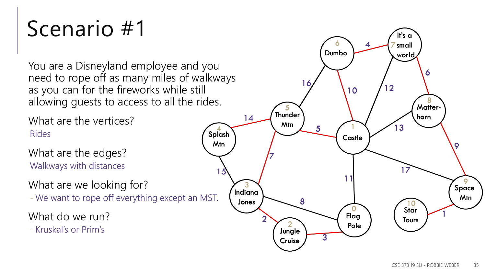You are a Disneyland employee and you need to rope off as many miles of walkways as you can for the fireworks while still allowing guests to access to all the rides.

What are the vertices? Rides

What are the edges? Walkways with distances

What are we looking for?

- We want to rope off everything except an MST.

What do we run?

- Kruskal's or Prim's

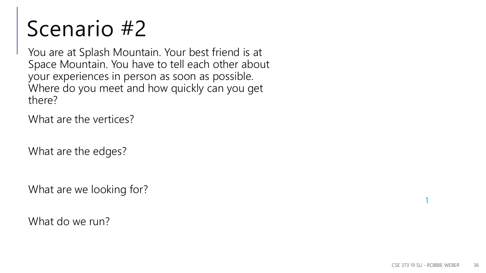You are at Splash Mountain. Your best friend is at Space Mountain. You have to tell each other about your experiences in person as soon as possible. Where do you meet and how quickly can you get there?

What are the vertices?

What are the edges?

What are we looking for?

What do we run?

1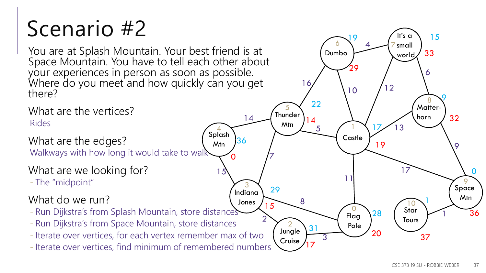You are at Splash Mountain. Your best friend is at Space Mountain. You have to tell each other about your experiences in person as soon as possible. Where do you meet and how quickly can you get there?

What are the vertices? Rides

What are the edges?

Walkways with how long it would take to walk

### What are we looking for?

- The "midpoint"

### What do we run?

- Run Dijkstra's from Splash Mountain, store distances
- Run Dijkstra's from Space Mountain, store distances
- Iterate over vertices, for each vertex remember max of two
- Iterate over vertices, find minimum of remembered numbers

1

Space Mtn

9

32

9

9

36

 $\Omega$ 

**Castle** 

1

29

 $6 \times 4$   $7$ 

4

 $10 / 12$ 

19

17

28

Dumbo

It's c small world

 $19$  / It's a \ 15

Matter-

8

6

33

horn

Star **Tours** 

 $20 \frac{37}{ }$ 

10

1

17

13

Flag

0

11

Pole

Jungle Cruise

2

8

**Thunder** 

5

Mtn

7

2

15

29

5

22

14

3

17

31

16

Indiana Jones

3

 $\boldsymbol{A}$ 

Splash Mtn

15

0

36

4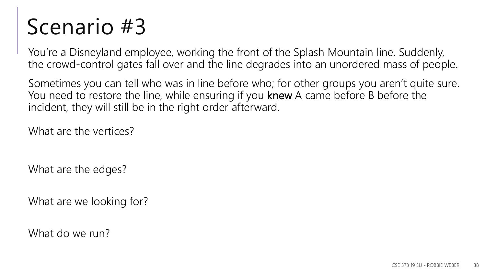You're a Disneyland employee, working the front of the Splash Mountain line. Suddenly, the crowd-control gates fall over and the line degrades into an unordered mass of people.

Sometimes you can tell who was in line before who; for other groups you aren't quite sure. You need to restore the line, while ensuring if you knew A came before B before the incident, they will still be in the right order afterward.

What are the vertices?

What are the edges?

What are we looking for?

What do we run?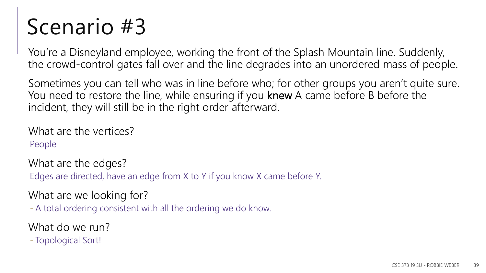You're a Disneyland employee, working the front of the Splash Mountain line. Suddenly, the crowd-control gates fall over and the line degrades into an unordered mass of people.

Sometimes you can tell who was in line before who; for other groups you aren't quite sure. You need to restore the line, while ensuring if you knew A came before B before the incident, they will still be in the right order afterward.

What are the vertices? People

What are the edges?

Edges are directed, have an edge from X to Y if you know X came before Y.

What are we looking for?

- A total ordering consistent with all the ordering we do know.

What do we run?

- Topological Sort!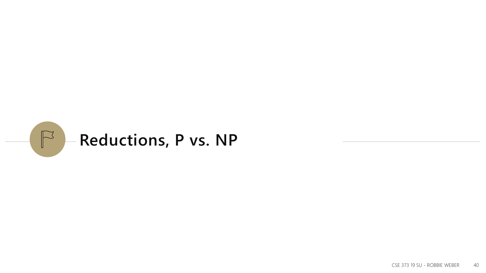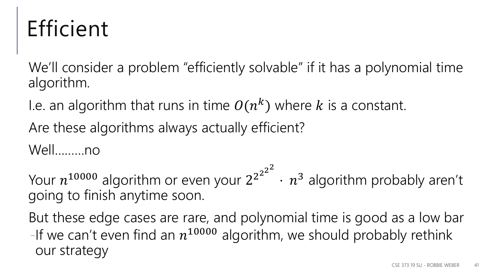### Efficient

We'll consider a problem "efficiently solvable" if it has a polynomial time algorithm.

I.e. an algorithm that runs in time  $O(n^k)$  where k is a constant.

Are these algorithms always actually efficient?

Well………no

Your  $n^{10000}$  algorithm or even your  $2^{2^{2^{2^{2}}}}$  $\cdot$   $n^3$  algorithm probably aren't going to finish anytime soon.

But these edge cases are rare, and polynomial time is good as a low bar -If we can't even find an  $n^{10000}$  algorithm, we should probably rethink our strategy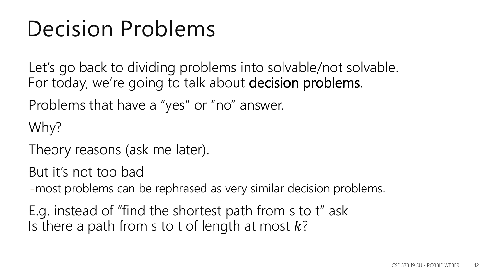### Decision Problems

Let's go back to dividing problems into solvable/not solvable. For today, we're going to talk about decision problems.

Problems that have a "yes" or "no" answer.

Why?

Theory reasons (ask me later).

But it's not too bad

-most problems can be rephrased as very similar decision problems.

E.g. instead of "find the shortest path from s to t" ask Is there a path from s to t of length at most  $k$ ?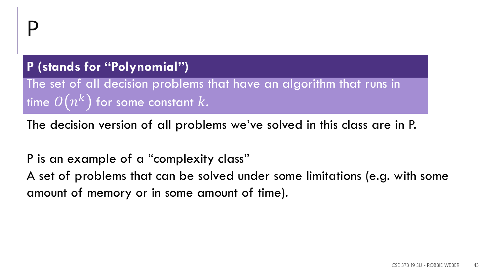### **P (stands for "Polynomial")**

The set of all decision problems that have an algorithm that runs in time  $\mathit{O}\big(n^k\big)$  for some constant  $k.$ 

The decision version of all problems we've solved in this class are in P.

P is an example of a "complexity class" A set of problems that can be solved under some limitations (e.g. with some amount of memory or in some amount of time).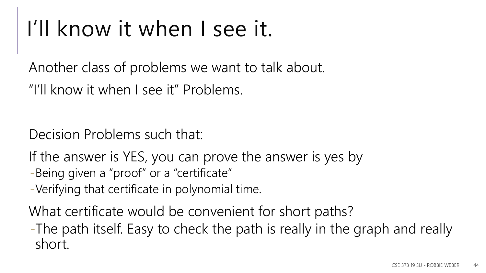### I'll know it when I see it.

Another class of problems we want to talk about.

"I'll know it when I see it" Problems.

Decision Problems such that:

If the answer is YES, you can prove the answer is yes by

-Being given a "proof" or a "certificate"

-Verifying that certificate in polynomial time.

What certificate would be convenient for short paths?

-The path itself. Easy to check the path is really in the graph and really short.